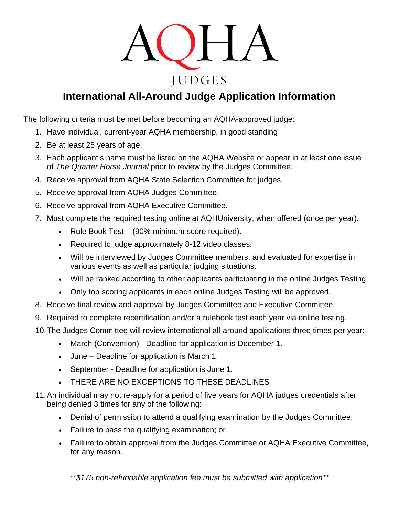

# **International All-Around Judge Application Information**

The following criteria must be met before becoming an AQHA-approved judge:

- 1. Have individual, current-year AQHA membership, in good standing
- 2. Be at least 25 years of age.
- 3. Each applicant's name must be listed on the AQHA Website or appear in at least one issue of *The Quarter Horse Journal* prior to review by the Judges Committee.
- 4. Receive approval from AQHA State Selection Committee for judges.
- 5. Receive approval from AQHA Judges Committee.
- 6. Receive approval from AQHA Executive Committee.
- 7. Must complete the required testing online at AQHUniversity, when offered (once per year).
	- Rule Book Test (90% minimum score required).
	- Required to judge approximately 8-12 video classes.
	- Will be interviewed by Judges Committee members, and evaluated for expertise in various events as well as particular judging situations.
	- Will be ranked according to other applicants participating in the online Judges Testing.
	- Only top scoring applicants in each online Judges Testing will be approved.
- 8. Receive final review and approval by Judges Committee and Executive Committee.
- 9. Required to complete recertification and/or a rulebook test each year via online testing.
- 10.The Judges Committee will review international all-around applications three times per year:
	- March (Convention) Deadline for application is December 1.
	- June Deadline for application is March 1.
	- September Deadline for application is June 1.
	- THERE ARE NO EXCEPTIONS TO THESE DEADLINES
- 11.An individual may not re-apply for a period of five years for AQHA judges credentials after being denied 3 times for any of the following:
	- Denial of permission to attend a qualifying examination by the Judges Committee;
	- Failure to pass the qualifying examination; or
	- Failure to obtain approval from the Judges Committee or AQHA Executive Committee, for any reason.

*\*\*\$175 non-refundable application fee must be submitted with application\*\**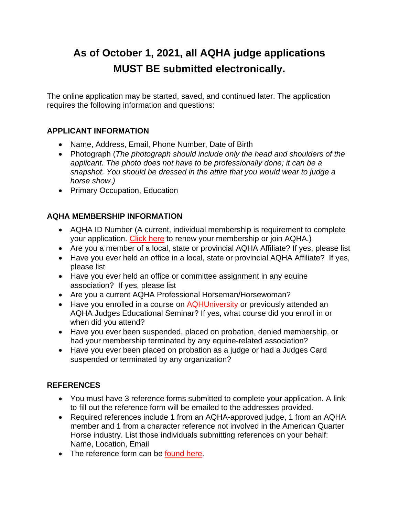# **As of October 1, 2021, all AQHA judge applications MUST BE submitted electronically.**

The online application may be started, saved, and continued later. The application requires the following information and questions:

#### **APPLICANT INFORMATION**

- Name, Address, Email, Phone Number, Date of Birth
- Photograph (*The photograph should include only the head and shoulders of the applicant. The photo does not have to be professionally done; it can be a snapshot. You should be dressed in the attire that you would wear to judge a horse show.)*
- Primary Occupation, Education

## **AQHA MEMBERSHIP INFORMATION**

- AQHA ID Number (A current, individual membership is requirement to complete your application. [Click here](https://www.aqha.com/aqha-memberships) to renew your membership or join AQHA.)
- Are you a member of a local, state or provincial AQHA Affiliate? If yes, please list
- Have you ever held an office in a local, state or provincial AQHA Affiliate? If yes, please list
- Have you ever held an office or committee assignment in any equine association? If yes, please list
- Are you a current AQHA Professional Horseman/Horsewoman?
- Have you enrolled in a course on [AQHUniversity](https://aqhaorg-my.sharepoint.com/personal/sreynolds_aqha_org/Documents/showing.aqhuniversity.com) or previously attended an AQHA Judges Educational Seminar? If yes, what course did you enroll in or when did you attend?
- Have you ever been suspended, placed on probation, denied membership, or had your membership terminated by any equine-related association?
- Have you ever been placed on probation as a judge or had a Judges Card suspended or terminated by any organization?

### **REFERENCES**

- You must have 3 reference forms submitted to complete your application. A link to fill out the reference form will be emailed to the addresses provided.
- Required references include 1 from an AQHA-approved judge, 1 from an AQHA member and 1 from a character reference not involved in the American Quarter Horse industry. List those individuals submitting references on your behalf: Name, Location, Email
- The reference form can be [found](https://www.aqha.com/judge-applicant-reference-form) here.